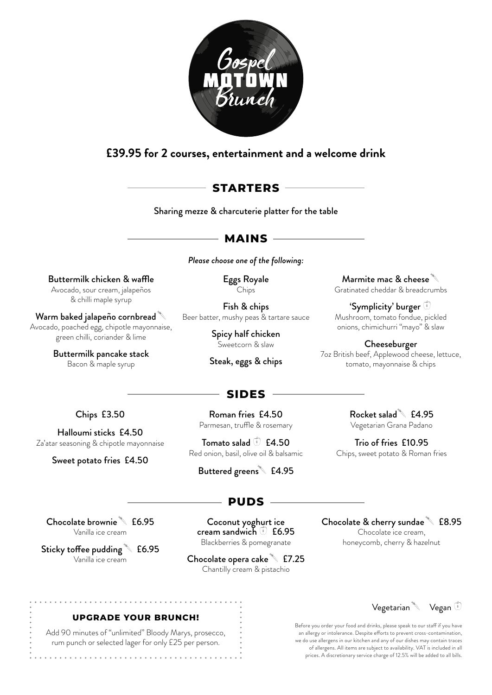

# **£39.95 for 2 courses, entertainment and a welcome drink**

# **STARTERS**

Sharing mezze & charcuterie platter for the table

## **MAINS**

*Please choose one of the following:* 

Buttermilk chicken & waffle Avocado, sour cream, jalapeños & chilli maple syrup

Warm baked jalapeño cornbread $\sqrt[3]{\phantom{a}}$ Avocado, poached egg, chipotle mayonnaise, green chilli, coriander & lime

> Buttermilk pancake stack Bacon & maple syrup

Eggs Royale Chips

Fish & chips Beer batter, mushy peas & tartare sauce

> Spicy half chicken Sweetcorn & slaw

Steak, eggs & chips

Marmite mac  $\&$  cheese  $\sqrt[3]{\begin{bmatrix} 1 & 0 \\ 0 & 1 \end{bmatrix}}$ Gratinated cheddar & breadcrumbs

'Symplicity' burger Mushroom, tomato fondue, pickled onions, chimichurri "mayo" & slaw

Cheeseburger 7oz British beef, Applewood cheese, lettuce, tomato, mayonnaise & chips

## **SIDES**

Chips £3.50

Halloumi sticks £4.50 Za'atar seasoning & chipotle mayonnaise

Sweet potato fries £4.50

Roman fries £4.50 Parmesan, truffle & rosemary

Tomato salad  $\bullet$  £4.50 Red onion, basil, olive oil & balsamic

Buttered greens<sup>4</sup> £4.95

Rocket salad $\degree$  £4.95 Vegetarian Grana Padano

Trio of fries £10.95 Chips, sweet potato & Roman fries

# **PUDS**

Chocolate brownie  $\text{\textdegree}$  £6.95 Vanilla ice cream

Sticky toffee pudding  $\sqrt[3]{ }$  £6.95 Vanilla ice cream

Coconut yoghurt ice cream sandwich  $\circled{1}$  £6.95 Blackberries & pomegranate

Chocolate opera cake  $\sqrt[3]{}$  £7.25 Chantilly cream & pistachio

Chocolate & cherry sundae  $\text{\textdegree}$  £8.95 Chocolate ice cream, honeycomb, cherry & hazelnut



#### Before you order your food and drinks, please speak to our staff if you have an allergy or intolerance. Despite efforts to prevent cross-contamination, we do use allergens in our kitchen and any of our dishes may contain traces of allergens. All items are subject to availability. VAT is included in all prices. A discretionary service charge of 12.5% will be added to all bills.

### **UPGRADE YOUR BRUNCH!**

. . . . . . . . . . . . . . .

Add 90 minutes of "unlimited" Bloody Marys, prosecco, rum punch or selected lager for only £25 per person.